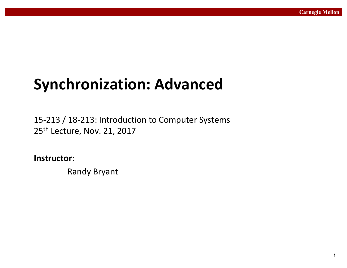# **Synchronization: Advanced**

15-213 / 18-213: Introduction to Computer Systems 25<sup>th</sup> Lecture, Nov. 21, 2017

**Instructor:**

Randy Bryant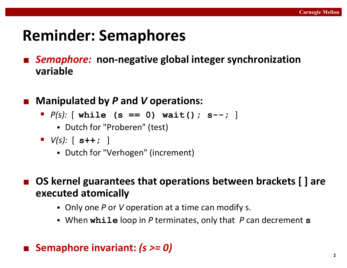# **Reminder: Semaphores**

- Semaphore: non-negative global integer synchronization **variable**
- Manipulated by P and V operations:
	- $P(s)$ **:** [ while (s == 0) wait(); s--; ]
		- Dutch for "Proberen" (test)
	- $\blacksquare$   $V(s):$   $[$   $s++;$   $]$ 
		- Dutch for "Verhogen" (increment)
- OS kernel guarantees that operations between brackets [ ] are **executed atomically**
	- Only one P or V operation at a time can modify s.
	- When while loop in P terminates, only that P can decrement s

### ■ Semaphore invariant: (*s >= 0*)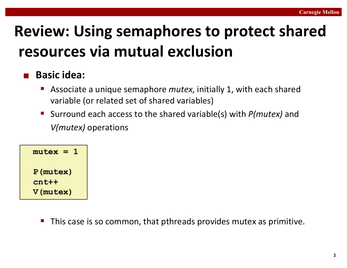# **Review: Using semaphores to protect shared resources via mutual exclusion**

### ¢ **Basic idea:**

- Associate a unique semaphore *mutex*, initially 1, with each shared variable (or related set of shared variables)
- Surround each access to the shared variable(s) with *P(mutex)* and *V(mutex)* operations

```
mutex = 1
P(mutex)
cnt++
V(mutex)
```
This case is so common, that pthreads provides mutex as primitive.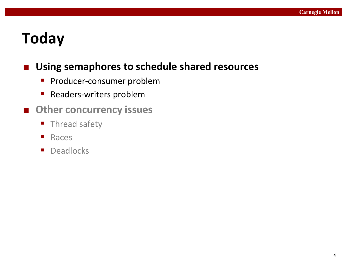# **Today**

### ■ Using semaphores to schedule shared resources

- **•** Producer-consumer problem
- Readers-writers problem
- Other concurrency issues
	- **Thread safety**
	- Races
	- **•** Deadlocks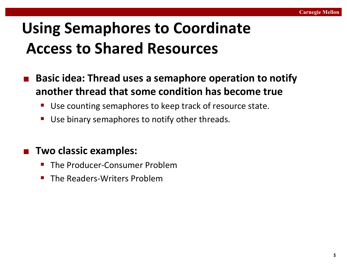# **Using Semaphores to Coordinate Access to Shared Resources**

- **Basic idea: Thread uses a semaphore operation to notify another thread that some condition has become true** 
	- Use counting semaphores to keep track of resource state.
	- Use binary semaphores to notify other threads.

### ¢ **Two classic examples:**

- The Producer-Consumer Problem
- The Readers-Writers Problem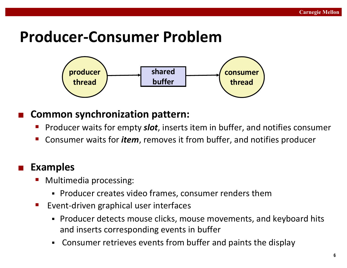# **Producer-Consumer Problem**



### **Common synchronization pattern:**

- Producer waits for empty *slot*, inserts item in buffer, and notifies consumer
- Consumer waits for *item*, removes it from buffer, and notifies producer

### ¢ **Examples**

- Multimedia processing:
	- Producer creates video frames, consumer renders them
- Event-driven graphical user interfaces
	- Producer detects mouse clicks, mouse movements, and keyboard hits and inserts corresponding events in buffer
	- Consumer retrieves events from buffer and paints the display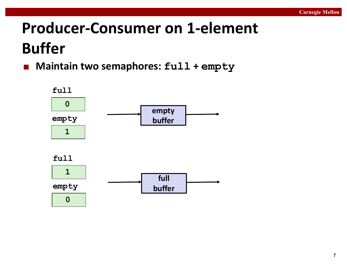# **Producer-Consumer on 1-element Buffer**

■ Maintain two semaphores:  $full + empty$ 

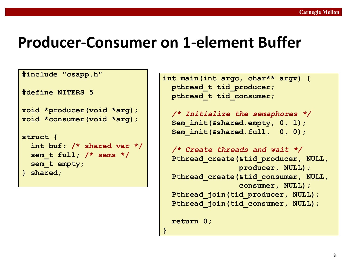### **Producer-Consumer on 1-element Buffer**

```
#include "csapp.h"
```
**#define NITERS 5**

```
void *producer(void *arg);
void *consumer(void *arg);
```

```
struct {
  int buf; /* shared var */
  sem_t full; /* sems */
  sem_t empty;
} shared;
```

```
int main(int argc, char** argv) {
 pthread_t tid_producer;
 pthread_t tid_consumer;
```

```
/* Initialize the semaphores */
Sem init(&shared.empty, 0, 1);
Sem_init(&shared.full, 0, 0);
```

```
/* Create threads and wait */
Pthread_create(&tid_producer, NULL, 
               producer, NULL);
Pthread_create(&tid_consumer, NULL, 
               consumer, NULL);
Pthread_join(tid_producer, NULL);
Pthread join(tid consumer, NULL);
```

```
return 0;
```
**}**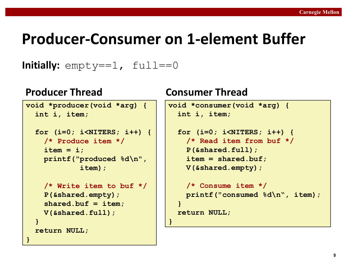# **Producer-Consumer on 1-element Buffer**

**}**

### **Initially:**  $empty=-1$ ,  $full==0$

```
void *producer(void *arg) {
  int i, item;
  for (i=0; i<NITERS; i++) {
    /* Produce item */
    item = i;
    printf("produced %d\n", 
            item);
    /* Write item to buf */
    P(&shared.empty);
    shared.buf = item;
    V(&shared.full);
  }
  return NULL;
}
```
### **Producer Thread Consumer Thread**

```
void *consumer(void *arg) {
  int i, item;
  for (i=0; i<NITERS; i++) {
    /* Read item from buf */
    P(&shared.full);
    item = shared.buf;
    V(&shared.empty);
    /* Consume item */
    printf("consumed %d\n", item);
  }
  return NULL;
```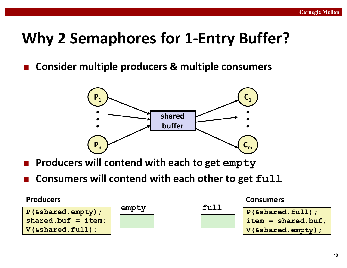# **Why 2 Semaphores for 1-Entry Buffer?**

**Consider multiple producers & multiple consumers** 



- **Producers will contend with each to get empty**
- **Consumers will contend with each other to get**  $ful1$

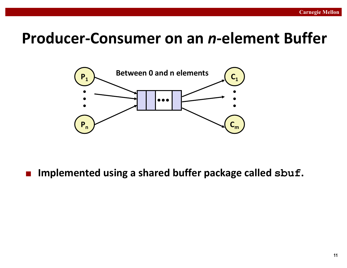### **Producer-Consumer on an** *n***-element Buffer**



### ■ Implemented using a shared buffer package called sbuf.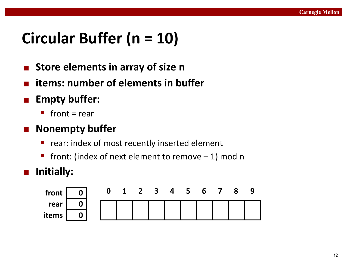# **Circular Buffer (n = 10)**

- **Store elements in array of size n**
- **items: number of elements in buffer**
- ¢ **Empty buffer:**
	- $\blacksquare$  front = rear

### ■ Nonempty buffer

- rear: index of most recently inserted element
- **•** front: (index of next element to remove  $-1$ ) mod n
- ¢ **Initially:**

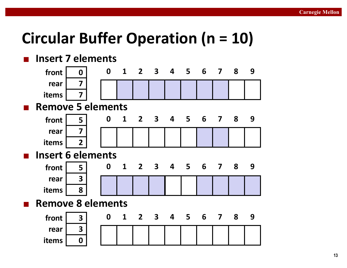# **Circular Buffer Operation (n = 10)**

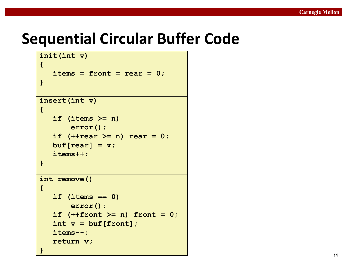### **Sequential Circular Buffer Code**

```
insert(int v)
{
   if (items >= n)
      error();
   if (++rear >= n) rear = 0;
  buf[rear] = v;items++;
}
int remove()
{
   if (items == 0)
      error();
   if (++front >= n) front = 0;
   int v = buf[front];
   items--;
   return v;
}
init(int v)
{
   items = front = rear = 0;}
```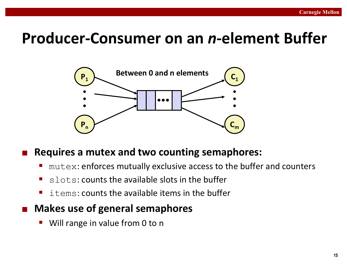### **Producer-Consumer on an** *n***-element Buffer**



### ¢ **Requires a mutex and two counting semaphores:**

- $m$ utex: enforces mutually exclusive access to the buffer and counters
- $\blacksquare$  slots: counts the available slots in the buffer
- $\blacksquare$  items: counts the available items in the buffer
- **Makes use of general semaphores** 
	- Will range in value from 0 to n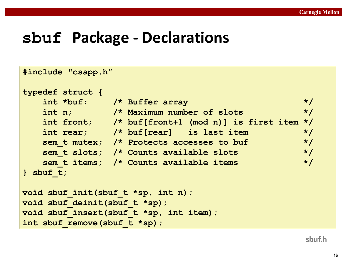### **sbuf Package - Declarations**

```
#include "csapp.h"
typedef struct {
   int *buf; /* Buffer array */
   int n; /* Maximum number of slots */
   int front; /* buf[front+1 (mod n)] is first item */
   int rear; /* buf[rear] is last item */
   sem_t mutex; /* Protects accesses to buf */
   sem_t slots; /* Counts available slots */
   sem_t items; /* Counts available items */
} sbuf_t;
void sbuf_init(sbuf_t *sp, int n);
void sbuf_deinit(sbuf_t *sp);
void sbuf_insert(sbuf_t *sp, int item);
int sbuf_remove(sbuf_t *sp);
```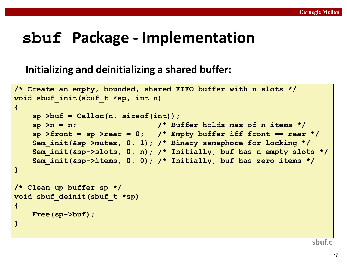## **sbuf Package - Implementation**

### **Initializing and deinitializing a shared buffer:**

```
/* Create an empty, bounded, shared FIFO buffer with n slots */
void sbuf_init(sbuf_t *sp, int n)
{
   sp->buf = Calloc(n, sizeof(int)); 
   sp->n = n; /* Buffer holds max of n items */
   sp->front = sp->rear = 0; /* Empty buffer iff front == rear */
   Sem_init(&sp->mutex, 0, 1); /* Binary semaphore for locking */
    Sem_init(&sp->slots, 0, n); /* Initially, buf has n empty slots */
   Sem_init(&sp->items, 0, 0); /* Initially, buf has zero items */
}
/* Clean up buffer sp */
void sbuf_deinit(sbuf_t *sp)
{
   Free(sp->buf);
}
```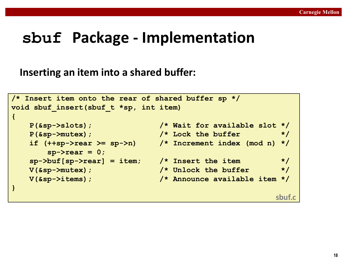### **sbuf Package - Implementation**

### **Inserting an item into a shared buffer:**

```
/* Insert item onto the rear of shared buffer sp */
void sbuf_insert(sbuf_t *sp, int item)
{
   P(&sp->slots); /* Wait for available slot */
   P(&sp->mutex); /* Lock the buffer */
   if (++sp->rear >= sp->n) /* Increment index (mod n) */
      sp->rear = 0;
   sp->buf[sp->rear] = item; /* Insert the item */
   V(&sp->mutex); /* Unlock the buffer */
   V(&sp->items); /* Announce available item */
}
                                                 sbuf.c
```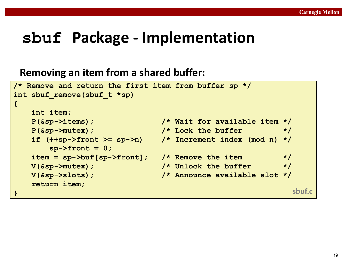### **sbuf Package - Implementation**

### **Removing an item from a shared buffer:**

```
/* Remove and return the first item from buffer sp */
int sbuf_remove(sbuf_t *sp)
{
   int item;
  P(&sp->items); /* Wait for available item */
   P(&sp->mutex); /* Lock the buffer */
   if (++sp->front >= sp->n) /* Increment index (mod n) */
      sp->front = 0;
   item = sp->buf[sp->front]; /* Remove the item */
  V(&sp->mutex); /* Unlock the buffer */
  V(&sp->slots); /* Announce available slot */
  return item;
} sbuf.c
```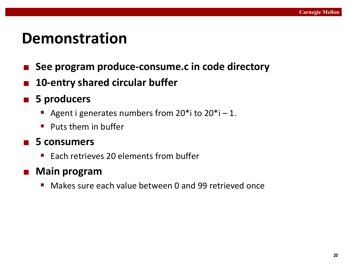### **Demonstration**

- See program produce-consume.c in code directory
- 10-entry shared circular buffer
- 5 producers
	- Agent i generates numbers from  $20^*$  ito  $20^*$  i 1.
	- $\blacksquare$  Puts them in buffer

### ■ 5 consumers

Each retrieves 20 elements from buffer

### ■ Main program

 $\blacksquare$  Makes sure each value between 0 and 99 retrieved once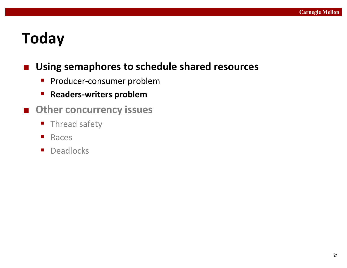# **Today**

### ■ Using semaphores to schedule shared resources

- **•** Producer-consumer problem
- **E** Readers-writers problem
- Other concurrency issues
	- **Thread safety**
	- Races
	- **•** Deadlocks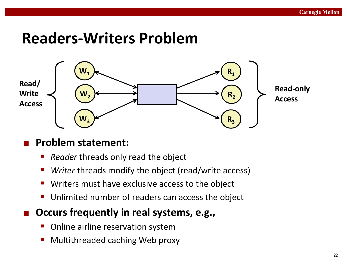### **Readers-Writers Problem**



### ¢ **Problem statement:**

- **Reader threads only read the object**
- Writer threads modify the object (read/write access)
- Writers must have exclusive access to the object
- Unlimited number of readers can access the object
- **Occurs frequently in real systems, e.g.,** 
	- Online airline reservation system
	- Multithreaded caching Web proxy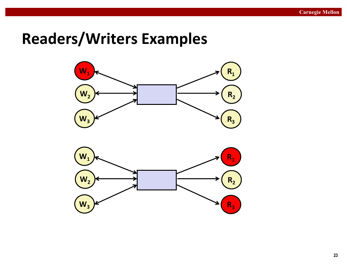# **Readers/Writers Examples**



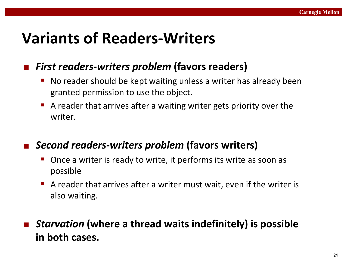# **Variants of Readers-Writers**

### *First readers-writers problem* (favors readers)

- No reader should be kept waiting unless a writer has already been granted permission to use the object.
- A reader that arrives after a waiting writer gets priority over the writer.

### ¢ *Second readers-writers problem* **(favors writers)**

- Once a writer is ready to write, it performs its write as soon as possible
- A reader that arrives after a writer must wait, even if the writer is also waiting.

### ■ Starvation (where a thread waits indefinitely) is possible **in both cases.**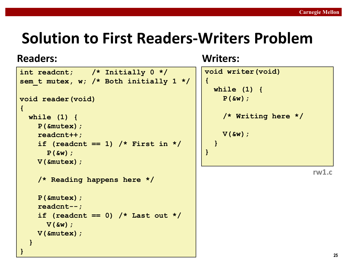```
int readcnt; /* Initially 0 */
sem_t mutex, w; /* Both initially 1 */
void reader(void) 
{
 while (1) {
    P(&mutex);
    readcnt++;
    if (readcnt == 1) /* First in */
     P(&w); 
    V(&mutex); 
    /* Reading happens here */
    P(&mutex);
    readcnt--;
    if (readcnt == 0) /* Last out */
     V(&w);
    V(&mutex);
  }
}
```

| void writer (void)          |  |  |  |
|-----------------------------|--|--|--|
| $\mathcal{L}_{\mathcal{L}}$ |  |  |  |
| while $(1)$ {               |  |  |  |
| $P(\&w);$                   |  |  |  |
|                             |  |  |  |
| /* Writing here */          |  |  |  |
|                             |  |  |  |
| $V(\delta w)$ ;             |  |  |  |
| $\mathbf{\}}$               |  |  |  |
| $\mathbf{\}$                |  |  |  |
|                             |  |  |  |
| rw1.c                       |  |  |  |
|                             |  |  |  |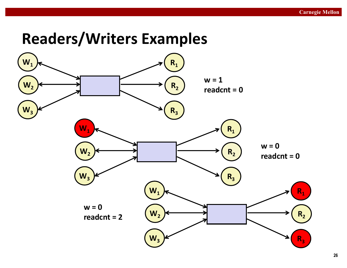# **Readers/Writers Examples**

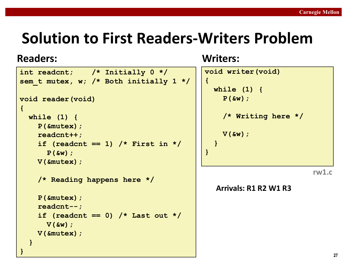### **Readers: Writers:**

```
int readcnt; /* Initially 0 */
sem_t mutex, w; /* Both initially 1 */
void reader(void) 
{
 while (1) {
    P(&mutex);
    readcnt++;
    if (readcnt == 1) /* First in */
     P(&w); 
    V(&mutex); 
    /* Reading happens here */
    P(&mutex);
    readcnt--;
    if (readcnt == 0) /* Last out */
     V(&w);
    V(&mutex);
  }
}
```

| void writer(void)           |
|-----------------------------|
| $\mathcal{L}_{\mathcal{L}}$ |
| while $(1)$ {               |
| $P(\&w);$                   |
| /* Writing here */          |
| $V(\&w)$ ;                  |
|                             |
| $\mathbf{R}$                |
|                             |
| rw                          |

#### **Arrivals: R1 R2 W1 R3**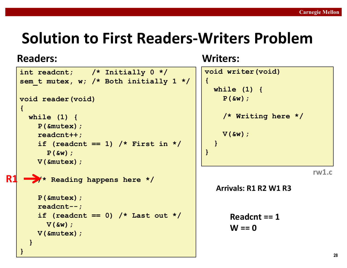### **Readers: Writers:**

**R1** 

```
int readcnt; /* Initially 0 */
sem_t mutex, w; /* Both initially 1 */
void reader(void) 
{
 while (1) {
    P(&mutex);
    readcnt++;
    if (readcnt == 1) /* First in */
     P(&w); 
    V(&mutex); 
  /* Reading happens here */
    P(&mutex);
    readcnt--;
    if (readcnt == 0) /* Last out */
     V(&w);
    V(&mutex);
  }
}
```

| void writer (void)                 |  |  |  |  |
|------------------------------------|--|--|--|--|
| $\{$<br>while $(1)$ {<br>$P(\&w);$ |  |  |  |  |
| /* Writing here */                 |  |  |  |  |
| $V(\&w)$ ;<br>$\mathbf{)}$         |  |  |  |  |
| $\mathbf{R}$                       |  |  |  |  |
| rw1.c                              |  |  |  |  |
| Arrivals: R1 R2 W1 R3              |  |  |  |  |
| Readcnt $== 1$<br>W == 0           |  |  |  |  |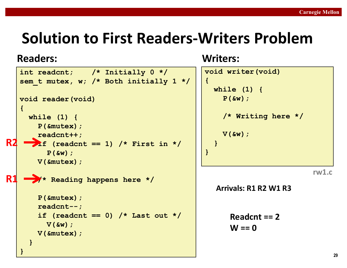```
int readcnt; /* Initially 0 */
   sem_t mutex, w; /* Both initially 1 */
   void reader(void) 
   {
     while (1) {
       P(&mutex);
       readcnt++;
      if (readcnt == 1) /* First in */
         P(&w); 
       V(&mutex); 
        /* Reading happens here */
       P(&mutex);
       readcnt--;
       if (readcnt == 0) /* Last out */
        V(&w);
       V(&mutex);
     }
   }
R1	
R2
```

| void writer (void)<br>$\mathcal{L}_{\mathcal{L}}$<br>while $(1)$ {<br>$P(\&w)$ ; |  |
|----------------------------------------------------------------------------------|--|
| /* Writing here */                                                               |  |
| $V(Sw)$ ;<br>$\mathbf{\}$<br>$\mathbf{R}$                                        |  |
| rw1.c<br>Arrivals: R1 R2 W1 R3                                                   |  |
| Readcnt $== 2$<br>W == 0                                                         |  |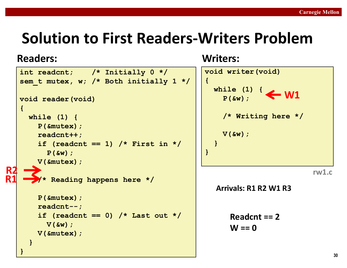```
int readcnt; /* Initially 0 */
   sem_t mutex, w; /* Both initially 1 */
   void reader(void) 
   {
     while (1) {
       P(&mutex);
       readcnt++;
       if (readcnt == 1) /* First in */
         P(&w); 
       V(&mutex); 
        /* Reading happens here */
       P(&mutex);
       readcnt--;
       if (readcnt == 0) /* Last out */
        V(&w);
       V(&mutex);
     }
   }
R1	
R2
```
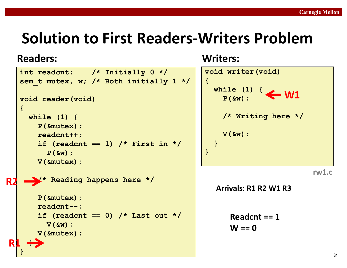```
int readcnt; /* Initially 0 */
   sem_t mutex, w; /* Both initially 1 */
   void reader(void) 
   {
     while (1) {
       P(&mutex);
       readcnt++;
       if (readcnt == 1) /* First in */
        P(&w); 
       V(&mutex); 
       /* Reading happens here */
       P(&mutex);
       readcnt--;
       if (readcnt == 0) /* Last out */
         V(&w);
       V(&mutex);
     }
   }
R1	
R2
```
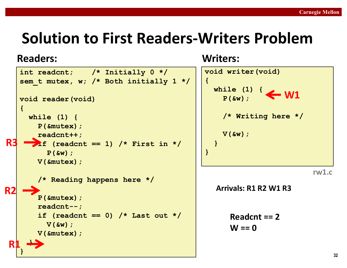```
int readcnt; /* Initially 0 */
   sem_t mutex, w; /* Both initially 1 */
   void reader(void) 
   {
     while (1) {
       P(&mutex);
       readcnt++;
      if (readcnt == 1) /* First in */
         P(&w); 
       V(&mutex); 
       /* Reading happens here */
       P(&mutex);
       readcnt--;
       if (readcnt == 0) /* Last out */
         V(&w);
       V(&mutex);
     }
   }
 R1	
R2	
R3
```
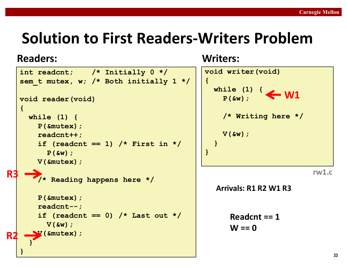```
int readcnt; /* Initially 0 */
   sem_t mutex, w; /* Both initially 1 */
  void reader(void) 
   {
    while (1) {
       P(&mutex);
       readcnt++;
       if (readcnt == 1) /* First in */
        P(&w); 
       V(&mutex); 
       /* Reading happens here */
       P(&mutex);
       readcnt--;
       if (readcnt == 0) /* Last out */
         V(&w);
       V(&mutex);
     }
   }
R
R3
```
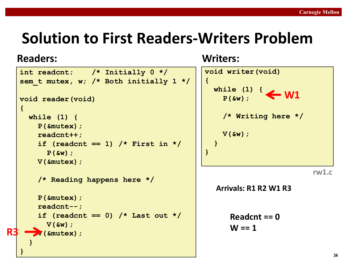```
int readcnt; /* Initially 0 */
   sem_t mutex, w; /* Both initially 1 */
  void reader(void) 
   {
    while (1) {
       P(&mutex);
       readcnt++;
       if (readcnt == 1) /* First in */
        P(&w); 
       V(&mutex); 
       /* Reading happens here */
       P(&mutex);
       readcnt--;
       if (readcnt == 0) /* Last out */
         V(&w);
        V(&mutex);
     }
   }
R3
```
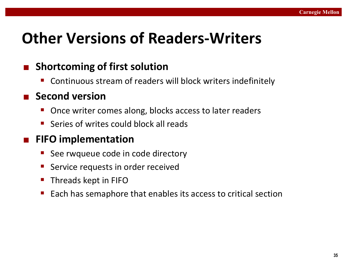# **Other Versions of Readers-Writers**

### **Shortcoming of first solution**

Continuous stream of readers will block writers indefinitely

### ■ Second version

- Once writer comes along, blocks access to later readers
- Series of writes could block all reads

### ¢ **FIFO implementation**

- See rwqueue code in code directory
- Service requests in order received
- **Threads kept in FIFO**
- Each has semaphore that enables its access to critical section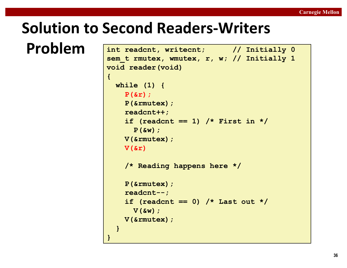### **Solution to Second Readers-Writers**

```
Problem int readcnt, writecnt; // Initially 0
                  sem_t rmutex, wmutex, r, w; // Initially 1
                  void reader(void) 
                  {
                   while (1) {
                     P(&r);
                     P(&rmutex);
                     readcnt++;
                     if (readcnt == 1) /* First in */
                       P(&w); 
                     V(&rmutex); 
                     V(&r) 
                      /* Reading happens here */
                     P(&rmutex);
                     readcnt--;
                      if (readcnt == 0) /* Last out */
                       V(&w);
                     V(&rmutex);
                    }
                  }
```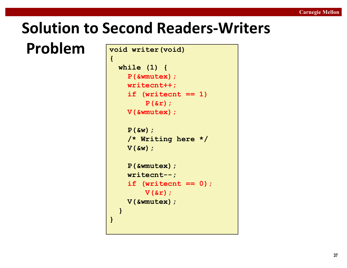# **Solution to Second Readers-Writers**

**Problem void writer(void)** 

```
{
 while (1) {
    P(&wmutex);
   writecnt++;
    if (writecnt == 1)
        P(&r);
    V(&wmutex);
    P(&w);
    /* Writing here */ 
   V(&w);
    P(&wmutex);
    writecnt--;
    if (writecnt == 0);
       V(&r);
    V(&wmutex);
  }
}
```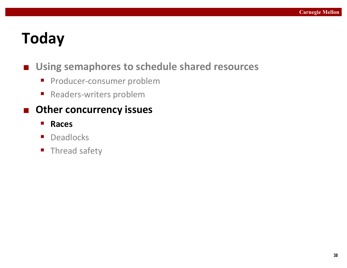# **Today**

### ■ Using semaphores to schedule shared resources

- **•** Producer-consumer problem
- Readers-writers problem

### ■ Other concurrency issues

- § **Races**
- Deadlocks
- **F** Thread safety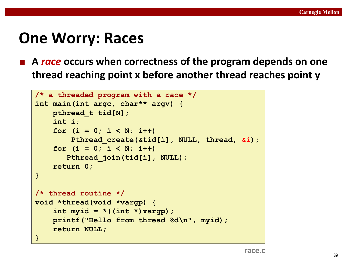### **One Worry: Races**

**E** A race occurs when correctness of the program depends on one **thread reaching point x before another thread reaches point y** 

```
/* a threaded program with a race */
int main(int argc, char** argv) {
   pthread_t tid[N];
    int i;
    for (i = 0; i < N; i++)
        Pthread_create(&tid[i], NULL, thread, &i);
    for (i = 0; i < N; i++)
       Pthread_join(tid[i], NULL);
    return 0;
}
/* thread routine */
void *thread(void *vargp) {
    int myid = *((int *)vargp);
    printf("Hello from thread %d\n", myid);
    return NULL;
}
```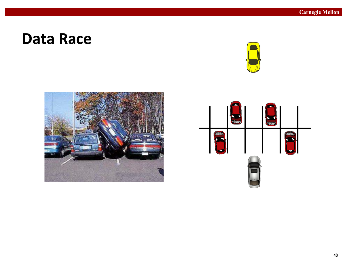### **Data Race**





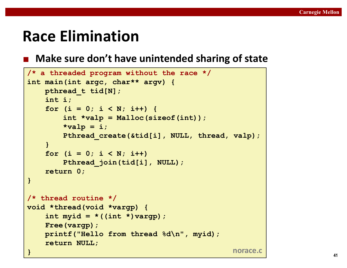# **Race Elimination**

### ■ Make sure don't have unintended sharing of state

```
/* a threaded program without the race */
int main(int argc, char** argv) {
   pthread_t tid[N];
   int i;
   for (i = 0; i < N; i++) {
       int *valp = Malloc(sizeof(int));
       *valp = i;
       Pthread_create(&tid[i], NULL, thread, valp);
    } 
   for (i = 0; i < N; i++)Pthread_join(tid[i], NULL);
   return 0;
}
/* thread routine */
void *thread(void *vargp) {
   int myid = *(int *)varqp);
   Free(vargp);
   printf("Hello from thread %d\n", myid);
   return NULL;
} norace.c
```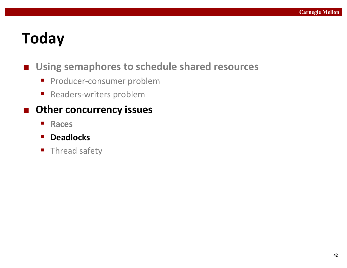# **Today**

### ■ Using semaphores to schedule shared resources

- **•** Producer-consumer problem
- Readers-writers problem

### ■ Other concurrency issues

- Races
- § **Deadlocks**
- **F** Thread safety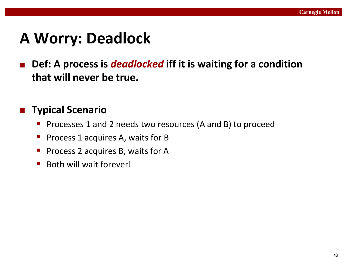# **A Worry: Deadlock**

■ Def: A process is *deadlocked* iff it is waiting for a condition **that will never be true.** 

### ■ **Typical Scenario**

- Processes 1 and 2 needs two resources (A and B) to proceed
- Process 1 acquires A, waits for B
- Process 2 acquires B, waits for A
- Both will wait forever!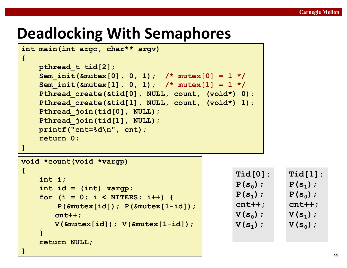# **Deadlocking With Semaphores**

```
int main(int argc, char** argv) 
{
   pthread_t tid[2];
    Sem_init(&mutex[0], 0, 1); /* mutex[0] = 1 */
    Sem_init(&mutex[1], 0, 1); /* mutex[1] = 1 */
    Pthread_create(&tid[0], NULL, count, (void*) 0);
   Pthread create(&tid[1], NULL, count, (void*) 1);
   Pthread join(tid[0], NULL);
   Pthread join(tid[1], NULL);
   printf("cnt=%d\n", cnt);
    return 0;
}
void *count(void *vargp) 
{
    int i;
    int id = (int) vargp;
    for (i = 0; i < NITERS; i++) {
       P(&mutex[id]); P(&mutex[1-id]);
       cnt++;
                                                Tid[0]:
                                                P(s_0);
                                                P(s1);
                                                cnt++;
                                                V(s_0);
```
**V(&mutex[id]); V(&mutex[1-id]);**

**}**

**}**

**return NULL;**

```
V(s_1);
```
**Tid[1]:**

**P(s1);**

 $P(s_0)$ ;

**cnt++;**

**V(s1);**

 $V(s_0)$ ;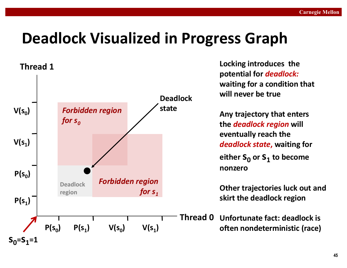# **Deadlock Visualized in Progress Graph**



Locking introduces the **potential for** *deadlock:* **waiting for a condition that will never be true**

**Any trajectory that enters the** *deadlock region* will **eventually reach the** *deadlock state*, waiting for either  $S_0$  or  $S_1$  to become **nonzero**

**Other trajectories luck out and skirt the deadlock region** 

**Unfortunate fact: deadlock is often nondeterministic (race)**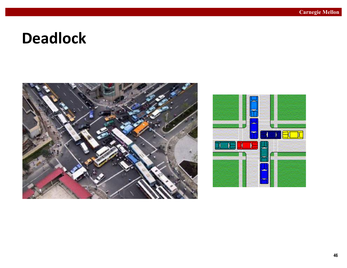### **Deadlock**



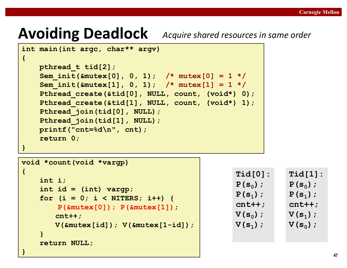# Avoiding Deadlock Acquire shared resources in same order

**cnt++;**

**return NULL;**

**}**

**}**

```
int main(int argc, char** argv) 
{
   pthread_t tid[2];
   Sem_init(&mutex[0], 0, 1); /* mutex[0] = 1 */
   Sem_init(&mutex[1], 0, 1); /* mutex[1] = 1 */
   Pthread_create(&tid[0], NULL, count, (void*) 0);
   Pthread create(&tid[1], NULL, count, (void*) 1);
   Pthread join(tid[0], NULL);
   Pthread join(tid[1], NULL);
   printf("cnt=%d\n", cnt);
   return 0;
}
void *count(void *vargp) 
{
   int i;
   int id = (int) vargp;
   for (i = 0; i < NITERS; i++) {
       P(&mutex[0]); P(&mutex[1]);
                                                Tid[0]:
                                                P(s_0);
                                                P(s1);
```
**V(&mutex[id]); V(&mutex[1-id]);**

```
cnt++;
V(s_0);
V(s_1);
```
**Tid[1]:**  $P(s_0)$ ; **P(s1); cnt++; V(s1);**  $V(s_0)$ ;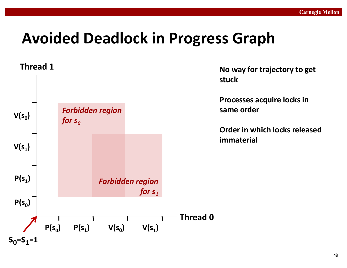# **Avoided Deadlock in Progress Graph**

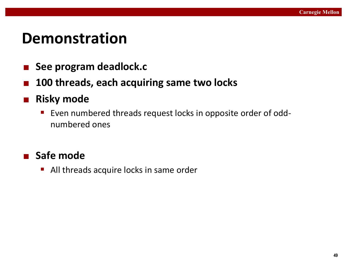### **Demonstration**

- See program deadlock.c
- 100 threads, each acquiring same two locks
- Risky mode
	- Even numbered threads request locks in opposite order of oddnumbered ones

■ Safe mode

All threads acquire locks in same order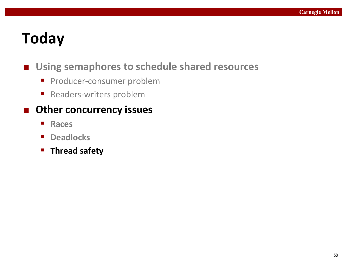# **Today**

### ■ Using semaphores to schedule shared resources

- **•** Producer-consumer problem
- Readers-writers problem

### ■ Other concurrency issues

- Races
- **Deadlocks**
- § **Thread safety**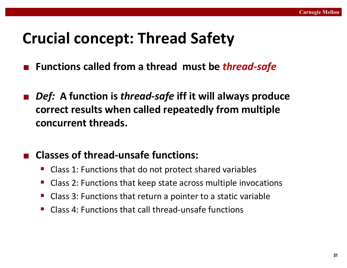# **Crucial concept: Thread Safety**

- **Functions called from a thread must be** *thread-safe*
- Def: A function is thread-safe iff it will always produce correct results when called repeatedly from multiple **concurrent threads.**

### ¢ **Classes of thread-unsafe functions:**

- Class 1: Functions that do not protect shared variables
- Class 2: Functions that keep state across multiple invocations
- Class 3: Functions that return a pointer to a static variable
- Class 4: Functions that call thread-unsafe functions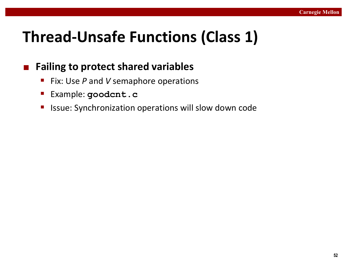# **Thread-Unsafe Functions (Class 1)**

### **■** Failing to protect shared variables

- Fix: Use *P* and *V* semaphore operations
- § Example: **goodcnt.c**
- Issue: Synchronization operations will slow down code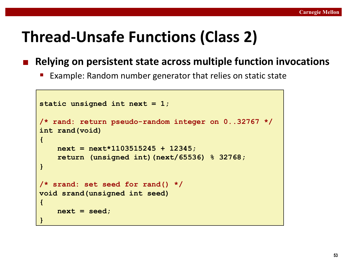# **Thread-Unsafe Functions (Class 2)**

■ Relying on persistent state across multiple function invocations

Example: Random number generator that relies on static state

```
static unsigned int next = 1; 
/* rand: return pseudo-random integer on 0..32767 */ 
int rand(void) 
{ 
    next = next*1103515245 + 12345; 
    return (unsigned int)(next/65536) % 32768; 
} 
/* srand: set seed for rand() */ 
void srand(unsigned int seed) 
{ 
    next = seed; 
}
```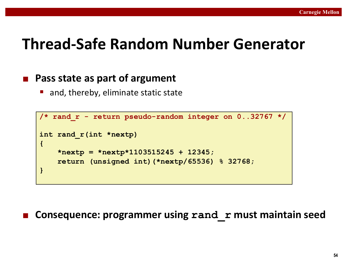### **Thread-Safe Random Number Generator**

#### ■ Pass state as part of argument

and, thereby, eliminate static state

```
/* rand_r - return pseudo-random integer on 0..32767 */ 
int rand_r(int *nextp) 
{ 
    *nextp = *nextp*1103515245 + 12345; 
    return (unsigned int)(*nextp/65536) % 32768; 
}
```
**Consequence: programmer using rand r must maintain seed**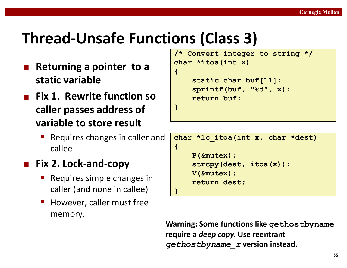# **Thread-Unsafe Functions (Class 3)**

- **Returning a pointer to a static variable**
- **Fix 1. Rewrite function so caller passes address of variable to store result** 
	- Requires changes in caller and callee

### **Fix 2. Lock-and-copy**

- Requires simple changes in caller (and none in callee)
- However, caller must free memory.

```
/* Convert integer to string */
char *itoa(int x)
{
    static char buf[11];
    sprintf(buf, 
"%d", x);
    return buf;
}
```

```
char *lc_itoa(int x, char *dest)
{
    P(&mutex);
    strcpy(dest, itoa(x));
    V(&mutex);
    return dest;
}
```
**Warning: Some functions like gethostbyname require a** *deep copy***. Use reentrant** *gethostbyname r* version instead.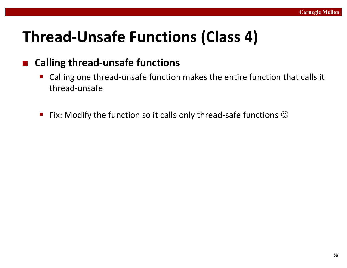# **Thread-Unsafe Functions (Class 4)**

### ■ Calling thread-unsafe functions

- Calling one thread-unsafe function makes the entire function that calls it thread-unsafe
- **Fix:** Modify the function so it calls only thread-safe functions  $\odot$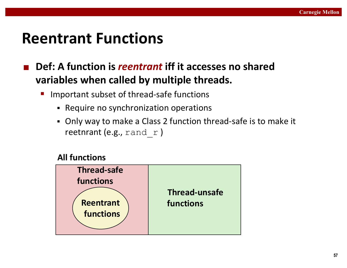### **Reentrant Functions**

- **Def:** A function is *reentrant* iff it accesses no shared **variables when called by multiple threads.** 
	- Important subset of thread-safe functions
		- Require no synchronization operations
		- Only way to make a Class 2 function thread-safe is to make it reetnrant (e.g.,  $\text{rand } r$ )

#### **All functions**

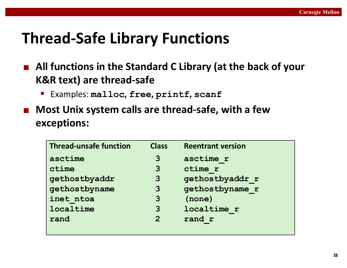# **Thread-Safe Library Functions**

- All functions in the Standard C Library (at the back of your **K&R** text) are thread-safe
	- § Examples: **malloc, free, printf, scanf**
- Most Unix system calls are thread-safe, with a few **exceptions:**

| <b>Thread-unsafe function</b> | <b>Class</b> | <b>Reentrant version</b> |
|-------------------------------|--------------|--------------------------|
| asctime                       | 3            | asctime r                |
| ctime                         | 3            | ctime r                  |
| gethostbyaddr                 | 3            | gethostbyaddr r          |
| gethostbyname                 | 3            | gethostbyname r          |
| inet ntoa                     | 3            | (none)                   |
| localtime                     | 3            | localtime r              |
| rand                          | $\mathbf{Z}$ | rand r                   |
|                               |              |                          |